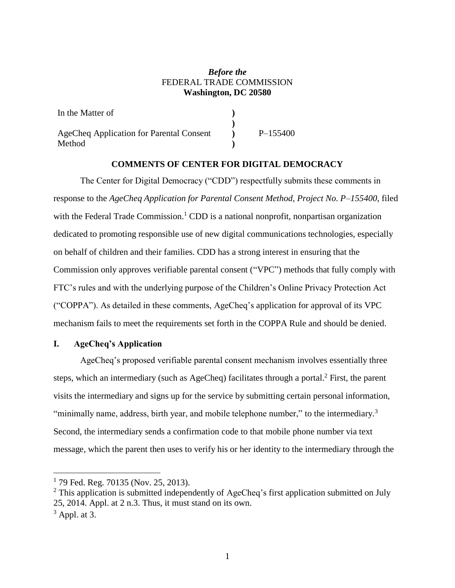### *Before the* FEDERAL TRADE COMMISSION **Washington, DC 20580**

| In the Matter of                         |            |
|------------------------------------------|------------|
|                                          |            |
| AgeCheq Application for Parental Consent | $P-155400$ |
| Method                                   |            |

# **COMMENTS OF CENTER FOR DIGITAL DEMOCRACY**

The Center for Digital Democracy ("CDD") respectfully submits these comments in response to the *AgeCheq Application for Parental Consent Method, Project No. P–155400*, filed with the Federal Trade Commission.<sup>1</sup> CDD is a national nonprofit, nonpartisan organization dedicated to promoting responsible use of new digital communications technologies, especially on behalf of children and their families. CDD has a strong interest in ensuring that the Commission only approves verifiable parental consent ("VPC") methods that fully comply with FTC's rules and with the underlying purpose of the Children's Online Privacy Protection Act ("COPPA"). As detailed in these comments, AgeCheq's application for approval of its VPC mechanism fails to meet the requirements set forth in the COPPA Rule and should be denied.

#### **I. AgeCheq's Application**

AgeCheq's proposed verifiable parental consent mechanism involves essentially three steps, which an intermediary (such as AgeCheq) facilitates through a portal.<sup>2</sup> First, the parent visits the intermediary and signs up for the service by submitting certain personal information, "minimally name, address, birth year, and mobile telephone number," to the intermediary.<sup>3</sup> Second, the intermediary sends a confirmation code to that mobile phone number via text message, which the parent then uses to verify his or her identity to the intermediary through the

<sup>&</sup>lt;sup>1</sup> 79 Fed. Reg. 70135 (Nov. 25, 2013).

 $2$  This application is submitted independently of AgeCheq's first application submitted on July 25, 2014. Appl. at 2 n.3. Thus, it must stand on its own.

 $3$  Appl. at 3.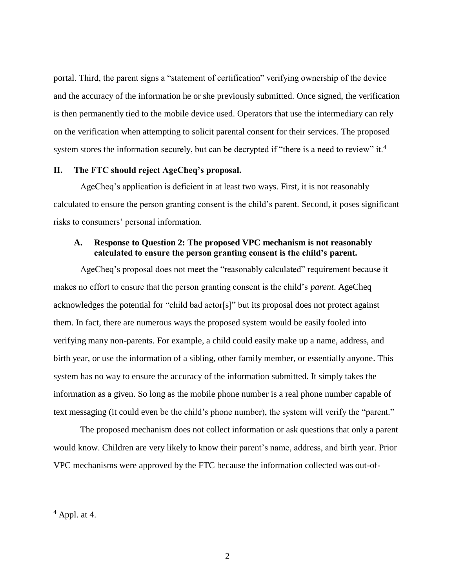portal. Third, the parent signs a "statement of certification" verifying ownership of the device and the accuracy of the information he or she previously submitted. Once signed, the verification is then permanently tied to the mobile device used. Operators that use the intermediary can rely on the verification when attempting to solicit parental consent for their services. The proposed system stores the information securely, but can be decrypted if "there is a need to review" it.<sup>4</sup>

### **II. The FTC should reject AgeCheq's proposal.**

AgeCheq's application is deficient in at least two ways. First, it is not reasonably calculated to ensure the person granting consent is the child's parent. Second, it poses significant risks to consumers' personal information.

## **A. Response to Question 2: The proposed VPC mechanism is not reasonably calculated to ensure the person granting consent is the child's parent.**

AgeCheq's proposal does not meet the "reasonably calculated" requirement because it makes no effort to ensure that the person granting consent is the child's *parent*. AgeCheq acknowledges the potential for "child bad actor[s]" but its proposal does not protect against them. In fact, there are numerous ways the proposed system would be easily fooled into verifying many non-parents. For example, a child could easily make up a name, address, and birth year, or use the information of a sibling, other family member, or essentially anyone. This system has no way to ensure the accuracy of the information submitted. It simply takes the information as a given. So long as the mobile phone number is a real phone number capable of text messaging (it could even be the child's phone number), the system will verify the "parent."

The proposed mechanism does not collect information or ask questions that only a parent would know. Children are very likely to know their parent's name, address, and birth year. Prior VPC mechanisms were approved by the FTC because the information collected was out-of-

 $<sup>4</sup>$  Appl. at 4.</sup>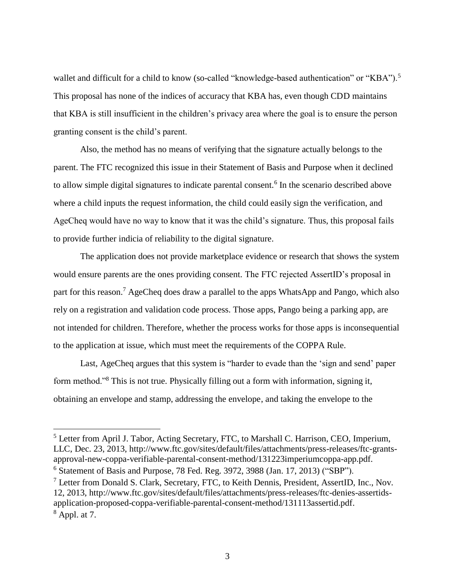wallet and difficult for a child to know (so-called "knowledge-based authentication" or "KBA").<sup>5</sup> This proposal has none of the indices of accuracy that KBA has, even though CDD maintains that KBA is still insufficient in the children's privacy area where the goal is to ensure the person granting consent is the child's parent.

Also, the method has no means of verifying that the signature actually belongs to the parent. The FTC recognized this issue in their Statement of Basis and Purpose when it declined to allow simple digital signatures to indicate parental consent.<sup>6</sup> In the scenario described above where a child inputs the request information, the child could easily sign the verification, and AgeCheq would have no way to know that it was the child's signature. Thus, this proposal fails to provide further indicia of reliability to the digital signature.

The application does not provide marketplace evidence or research that shows the system would ensure parents are the ones providing consent. The FTC rejected AssertID's proposal in part for this reason.<sup>7</sup> AgeCheq does draw a parallel to the apps WhatsApp and Pango, which also rely on a registration and validation code process. Those apps, Pango being a parking app, are not intended for children. Therefore, whether the process works for those apps is inconsequential to the application at issue, which must meet the requirements of the COPPA Rule.

Last, AgeCheq argues that this system is "harder to evade than the 'sign and send' paper form method."<sup>8</sup> This is not true. Physically filling out a form with information, signing it, obtaining an envelope and stamp, addressing the envelope, and taking the envelope to the

<sup>5</sup> Letter from April J. Tabor, Acting Secretary, FTC, to Marshall C. Harrison, CEO, Imperium, LLC, Dec. 23, 2013, http://www.ftc.gov/sites/default/files/attachments/press-releases/ftc-grantsapproval-new-coppa-verifiable-parental-consent-method/131223imperiumcoppa-app.pdf.

 $6$  Statement of Basis and Purpose, 78 Fed. Reg. 3972, 3988 (Jan. 17, 2013) ("SBP").

<sup>7</sup> Letter from Donald S. Clark, Secretary, FTC, to Keith Dennis, President, AssertID, Inc., Nov. 12, 2013, http://www.ftc.gov/sites/default/files/attachments/press-releases/ftc-denies-assertidsapplication-proposed-coppa-verifiable-parental-consent-method/131113assertid.pdf.  $8$  Appl. at 7.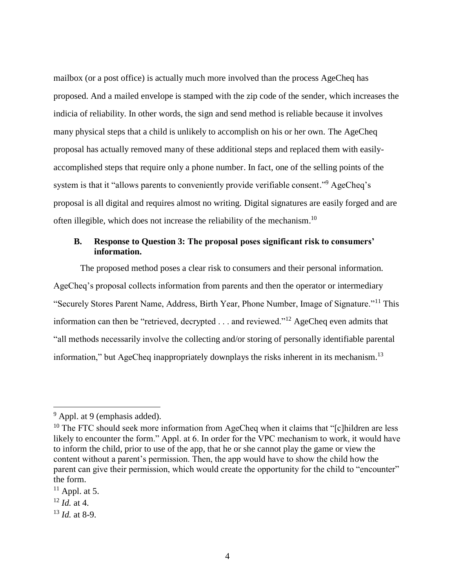mailbox (or a post office) is actually much more involved than the process AgeCheq has proposed. And a mailed envelope is stamped with the zip code of the sender, which increases the indicia of reliability. In other words, the sign and send method is reliable because it involves many physical steps that a child is unlikely to accomplish on his or her own. The AgeCheq proposal has actually removed many of these additional steps and replaced them with easilyaccomplished steps that require only a phone number. In fact, one of the selling points of the system is that it "allows parents to conveniently provide verifiable consent."<sup>9</sup> AgeCheq's proposal is all digital and requires almost no writing. Digital signatures are easily forged and are often illegible, which does not increase the reliability of the mechanism.<sup>10</sup>

## **B. Response to Question 3: The proposal poses significant risk to consumers' information.**

The proposed method poses a clear risk to consumers and their personal information. AgeCheq's proposal collects information from parents and then the operator or intermediary "Securely Stores Parent Name, Address, Birth Year, Phone Number, Image of Signature."<sup>11</sup> This information can then be "retrieved, decrypted . . . and reviewed."<sup>12</sup> AgeCheq even admits that "all methods necessarily involve the collecting and/or storing of personally identifiable parental information," but AgeCheq inappropriately downplays the risks inherent in its mechanism.<sup>13</sup>

<sup>&</sup>lt;sup>9</sup> Appl. at 9 (emphasis added).

<sup>&</sup>lt;sup>10</sup> The FTC should seek more information from AgeCheq when it claims that " $[c]$ hildren are less likely to encounter the form." Appl. at 6. In order for the VPC mechanism to work, it would have to inform the child, prior to use of the app, that he or she cannot play the game or view the content without a parent's permission. Then, the app would have to show the child how the parent can give their permission, which would create the opportunity for the child to "encounter" the form.

 $11$  Appl. at 5.

 $12$  *Id.* at 4.

<sup>13</sup> *Id.* at 8-9.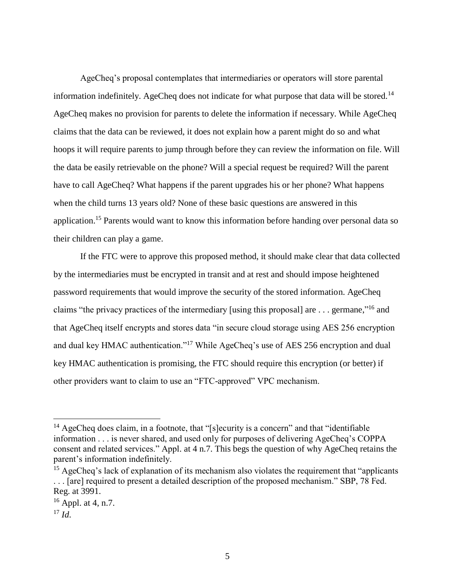AgeCheq's proposal contemplates that intermediaries or operators will store parental information indefinitely. AgeCheq does not indicate for what purpose that data will be stored.<sup>14</sup> AgeCheq makes no provision for parents to delete the information if necessary. While AgeCheq claims that the data can be reviewed, it does not explain how a parent might do so and what hoops it will require parents to jump through before they can review the information on file. Will the data be easily retrievable on the phone? Will a special request be required? Will the parent have to call AgeCheq? What happens if the parent upgrades his or her phone? What happens when the child turns 13 years old? None of these basic questions are answered in this application.<sup>15</sup> Parents would want to know this information before handing over personal data so their children can play a game.

If the FTC were to approve this proposed method, it should make clear that data collected by the intermediaries must be encrypted in transit and at rest and should impose heightened password requirements that would improve the security of the stored information. AgeCheq claims "the privacy practices of the intermediary [using this proposal] are ... germane,"<sup>16</sup> and that AgeCheq itself encrypts and stores data "in secure cloud storage using AES 256 encryption and dual key HMAC authentication."<sup>17</sup> While AgeCheq's use of AES 256 encryption and dual key HMAC authentication is promising, the FTC should require this encryption (or better) if other providers want to claim to use an "FTC-approved" VPC mechanism.

<sup>&</sup>lt;sup>14</sup> AgeCheq does claim, in a footnote, that "[s]ecurity is a concern" and that "identifiable" information . . . is never shared, and used only for purposes of delivering AgeCheq's COPPA consent and related services." Appl. at 4 n.7. This begs the question of why AgeCheq retains the parent's information indefinitely.

<sup>&</sup>lt;sup>15</sup> AgeCheq's lack of explanation of its mechanism also violates the requirement that "applicants" . . . [are] required to present a detailed description of the proposed mechanism." SBP, 78 Fed. Reg. at 3991.

<sup>&</sup>lt;sup>16</sup> Appl. at 4, n.7.

 $17$  *Id.*